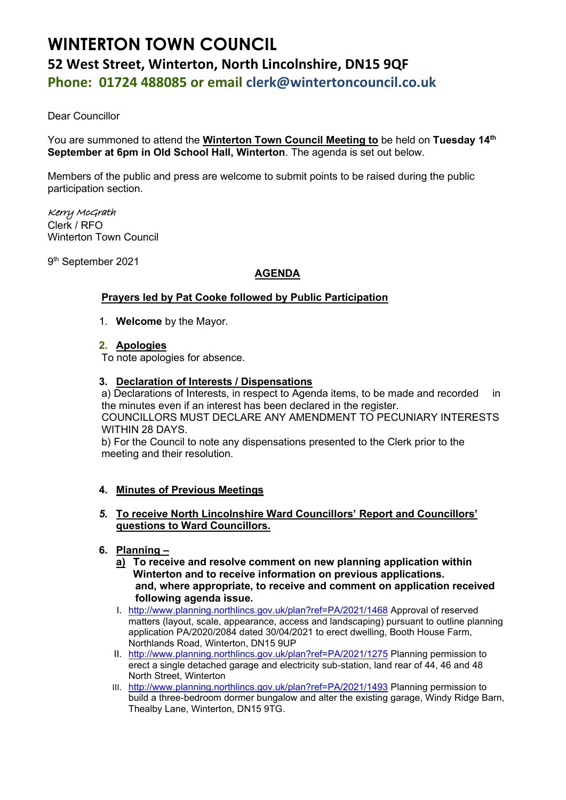# **WINTERTON TOWN COUNCIL 52 West Street, Winterton, North Lincolnshire, DN15 9QF Phone: 01724 488085 or email clerk@wintertoncouncil.co.uk**

Dear Councillor

You are summoned to attend the **Winterton Town Council Meeting to** be held on **Tuesday 14th September at 6pm in Old School Hall, Winterton**. The agenda is set out below.

Members of the public and press are welcome to submit points to be raised during the public participation section.

## Kerry McGrath

Clerk / RFO Winterton Town Council

9 th September 2021

# **AGENDA**

## **Prayers led by Pat Cooke followed by Public Participation**

1. **Welcome** by the Mayor.

## **2. Apologies**

To note apologies for absence.

#### **3. Declaration of Interests / Dispensations**

a) Declarations of Interests, in respect to Agenda items, to be made and recorded in the minutes even if an interest has been declared in the register. COUNCILLORS MUST DECLARE ANY AMENDMENT TO PECUNIARY INTERESTS WITHIN 28 DAYS.

b) For the Council to note any dispensations presented to the Clerk prior to the meeting and their resolution.

## **4. Minutes of Previous Meetings**

## *5.* **To receive North Lincolnshire Ward Councillors' Report and Councillors' questions to Ward Councillors.**

## **6. Planning –**

- **a) To receive and resolve comment on new planning application within Winterton and to receive information on previous applications. and, where appropriate, to receive and comment on application received following agenda issue.**
- I. [http://www.planning.northlincs.gov.uk/plan?ref=PA/2021/1468](https://gbr01.safelinks.protection.outlook.com/?url=http%3A%2F%2Fwww.planning.northlincs.gov.uk%2Fplan%3Fref%3DPA%2F2021%2F1468&data=04%7C01%7Crfo%40wintertoncouncil.co.uk%7C96b05650ccd742bbff9708d969753faf%7C1901833ec75843e2a83efb7032ea34cb%7C0%7C0%7C637656774559714541%7CUnknown%7CTWFpbGZsb3d8eyJWIjoiMC4wLjAwMDAiLCJQIjoiV2luMzIiLCJBTiI6Ik1haWwiLCJXVCI6Mn0%3D%7C1000&sdata=WM6oLFZO965jLeAkhWEwH2ZCiogQPI5lTLbPaQMKyeU%3D&reserved=0) Approval of reserved matters (layout, scale, appearance, access and landscaping) pursuant to outline planning application PA/2020/2084 dated 30/04/2021 to erect dwelling, Booth House Farm, Northlands Road, Winterton, DN15 9UP
- II. [http://www.planning.northlincs.gov.uk/plan?ref=PA/2021/1275](https://gbr01.safelinks.protection.outlook.com/?url=http%3A%2F%2Fwww.planning.northlincs.gov.uk%2Fplan%3Fref%3DPA%2F2021%2F1275&data=04%7C01%7Crfo%40wintertoncouncil.co.uk%7Cf701a1a99814420b690408d963cacaaf%7C1901833ec75843e2a83efb7032ea34cb%7C0%7C0%7C637650544896723717%7CUnknown%7CTWFpbGZsb3d8eyJWIjoiMC4wLjAwMDAiLCJQIjoiV2luMzIiLCJBTiI6Ik1haWwiLCJXVCI6Mn0%3D%7C1000&sdata=QXjIdIrTEkUKkiR8EVy1gJMyPTZ5J53xhH9IJfrK%2FiU%3D&reserved=0) Planning permission to erect a single detached garage and electricity sub-station, land rear of 44, 46 and 48 North Street, Winterton
- III. [http://www.planning.northlincs.gov.uk/plan?ref=PA/2021/1493](https://gbr01.safelinks.protection.outlook.com/?url=http%3A%2F%2Fwww.planning.northlincs.gov.uk%2Fplan%3Fref%3DPA%2F2021%2F1493&data=04%7C01%7Crfo%40wintertoncouncil.co.uk%7C63dbee6cb6a34ea508e708d972a2c1dd%7C1901833ec75843e2a83efb7032ea34cb%7C0%7C0%7C637666865622993181%7CUnknown%7CTWFpbGZsb3d8eyJWIjoiMC4wLjAwMDAiLCJQIjoiV2luMzIiLCJBTiI6Ik1haWwiLCJXVCI6Mn0%3D%7C1000&sdata=RyaWbrpv6p%2BO%2FylZDveorv6hIp9vzraglwaO9J5GxGk%3D&reserved=0) Planning permission to build a three-bedroom dormer bungalow and alter the existing garage, Windy Ridge Barn, Thealby Lane, Winterton, DN15 9TG.